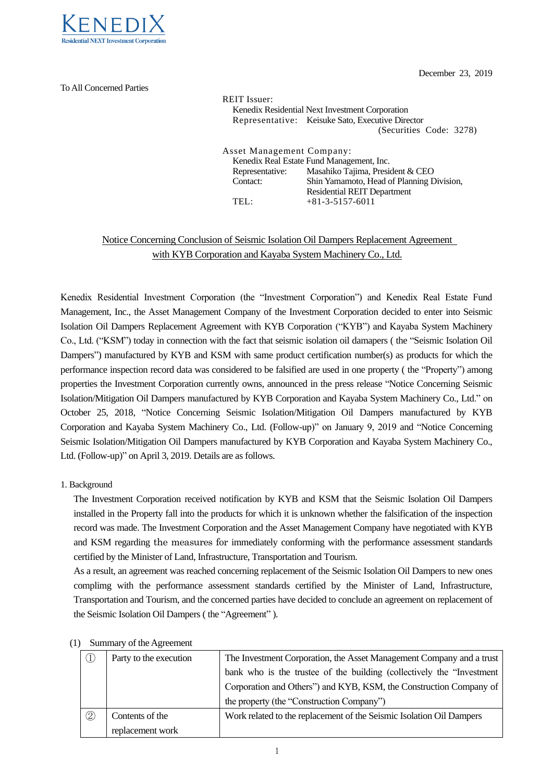

To All Concerned Parties

December 23, 2019

REIT Issuer: Kenedix Residential Next Investment Corporation Representative: Keisuke Sato, Executive Director (Securities Code: 3278) Asset Management Company: Kenedix Real Estate Fund Management, Inc. Representative: Masahiko Tajima, President & CEO Contact: Shin Yamamoto, Head of Planning Division, Residential REIT Department TEL:  $+81-3-5157-6011$ 

## Notice Concerning Conclusion of Seismic Isolation Oil Dampers Replacement Agreement with KYB Corporation and Kayaba System Machinery Co., Ltd.

Kenedix Residential Investment Corporation (the "Investment Corporation") and Kenedix Real Estate Fund Management, Inc., the Asset Management Company of the Investment Corporation decided to enter into Seismic Isolation Oil Dampers Replacement Agreement with KYB Corporation ("KYB") and Kayaba System Machinery Co., Ltd. ("KSM") today in connection with the fact that seismic isolation oil damapers ( the "Seismic Isolation Oil Dampers") manufactured by KYB and KSM with same product certification number(s) as products for which the performance inspection record data was considered to be falsified are used in one property ( the "Property") among properties the Investment Corporation currently owns, announced in the press release "Notice Concerning Seismic Isolation/Mitigation Oil Dampers manufactured by KYB Corporation and Kayaba System Machinery Co., Ltd." on October 25, 2018, "Notice Concerning Seismic Isolation/Mitigation Oil Dampers manufactured by KYB Corporation and Kayaba System Machinery Co., Ltd. (Follow-up)" on January 9, 2019 and "Notice Concerning Seismic Isolation/Mitigation Oil Dampers manufactured by KYB Corporation and Kayaba System Machinery Co., Ltd. (Follow-up)" on April 3, 2019. Details are as follows.

## 1. Background

The Investment Corporation received notification by KYB and KSM that the Seismic Isolation Oil Dampers installed in the Property fall into the products for which it is unknown whether the falsification of the inspection record was made. The Investment Corporation and the Asset Management Company have negotiated with KYB and KSM regarding the measures for immediately conforming with the performance assessment standards certified by the Minister of Land, Infrastructure, Transportation and Tourism.

As a result, an agreement was reached concerning replacement of the Seismic Isolation Oil Dampers to new ones complimg with the performance assessment standards certified by the Minister of Land, Infrastructure, Transportation and Tourism, and the concerned parties have decided to conclude an agreement on replacement of the Seismic Isolation Oil Dampers ( the "Agreement" ).

| $D$ $\alpha$ . The $\alpha$ is the $\alpha$ is the set of $\alpha$ |                        |                                                                        |  |  |
|--------------------------------------------------------------------|------------------------|------------------------------------------------------------------------|--|--|
|                                                                    | Party to the execution | The Investment Corporation, the Asset Management Company and a trust   |  |  |
|                                                                    |                        | bank who is the trustee of the building (collectively the "Investment" |  |  |
|                                                                    |                        | Corporation and Others") and KYB, KSM, the Construction Company of     |  |  |
|                                                                    |                        | the property (the "Construction Company")                              |  |  |
| $^{\copyright}$                                                    | Contents of the        | Work related to the replacement of the Seismic Isolation Oil Dampers   |  |  |
|                                                                    | replacement work       |                                                                        |  |  |

## (1) Summary of theAgreement